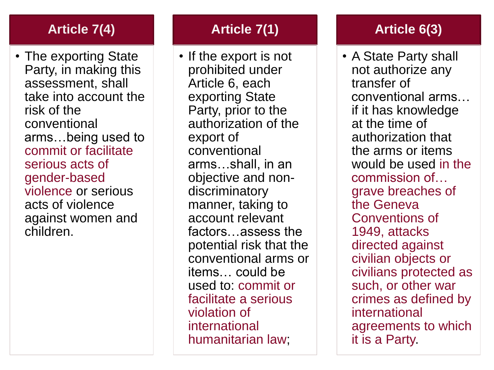### **Article 7(4)**

• The exporting State Party, in making this assessment, shall take into account the risk of the conventional arms…being used to commit or facilitate serious acts of gender-based violence or serious acts of violence against women and children.

#### **Article 7(1)**

• If the export is not prohibited under Article 6, each exporting State Party, prior to the authorization of the export of conventional arms…shall, in an objective and nondiscriminatory manner, taking to account relevant factors…assess the potential risk that the conventional arms or items… could be used to: commit or facilitate a serious violation of international humanitarian law;

## **Article 6(3)**

• A State Party shall not authorize any transfer of conventional arms… if it has knowledge at the time of authorization that the arms or items would be used in the commission of… grave breaches of the Geneva Conventions of 1949, attacks directed against civilian objects or civilians protected as such, or other war crimes as defined by international agreements to which it is a Party.